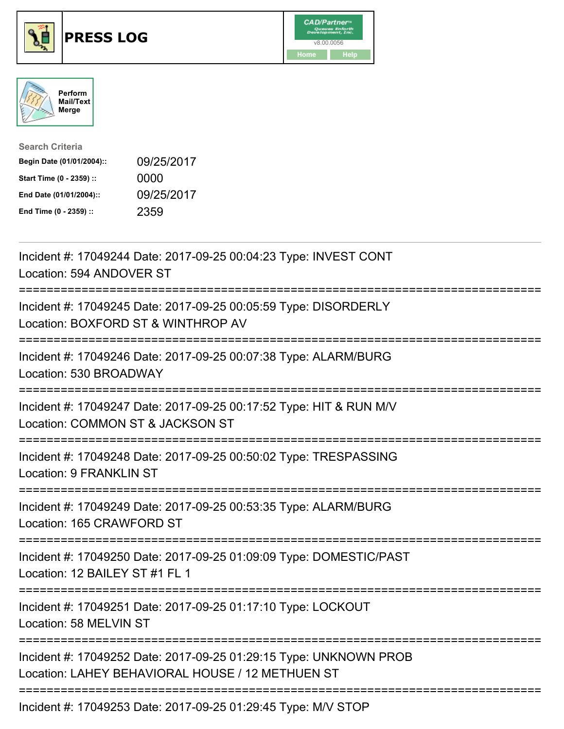





| <b>Search Criteria</b>    |            |
|---------------------------|------------|
| Begin Date (01/01/2004):: | 09/25/2017 |
| Start Time (0 - 2359) ::  | 0000       |
| End Date (01/01/2004)::   | 09/25/2017 |
| End Time (0 - 2359) ::    | 2359       |

| Incident #: 17049244 Date: 2017-09-25 00:04:23 Type: INVEST CONT<br>Location: 594 ANDOVER ST<br>------------                                             |
|----------------------------------------------------------------------------------------------------------------------------------------------------------|
| Incident #: 17049245 Date: 2017-09-25 00:05:59 Type: DISORDERLY<br>Location: BOXFORD ST & WINTHROP AV                                                    |
| Incident #: 17049246 Date: 2017-09-25 00:07:38 Type: ALARM/BURG<br>Location: 530 BROADWAY                                                                |
| Incident #: 17049247 Date: 2017-09-25 00:17:52 Type: HIT & RUN M/V<br>Location: COMMON ST & JACKSON ST                                                   |
| Incident #: 17049248 Date: 2017-09-25 00:50:02 Type: TRESPASSING<br>Location: 9 FRANKLIN ST                                                              |
| Incident #: 17049249 Date: 2017-09-25 00:53:35 Type: ALARM/BURG<br>Location: 165 CRAWFORD ST<br>==================                                       |
| Incident #: 17049250 Date: 2017-09-25 01:09:09 Type: DOMESTIC/PAST<br>Location: 12 BAILEY ST #1 FL 1                                                     |
| Incident #: 17049251 Date: 2017-09-25 01:17:10 Type: LOCKOUT<br>Location: 58 MELVIN ST                                                                   |
| Incident #: 17049252 Date: 2017-09-25 01:29:15 Type: UNKNOWN PROB<br>Location: LAHEY BEHAVIORAL HOUSE / 12 METHUEN ST<br>------------------------------- |
| Incident #: 17049253 Date: 2017-09-25 01:29:45 Type: M/V STOP                                                                                            |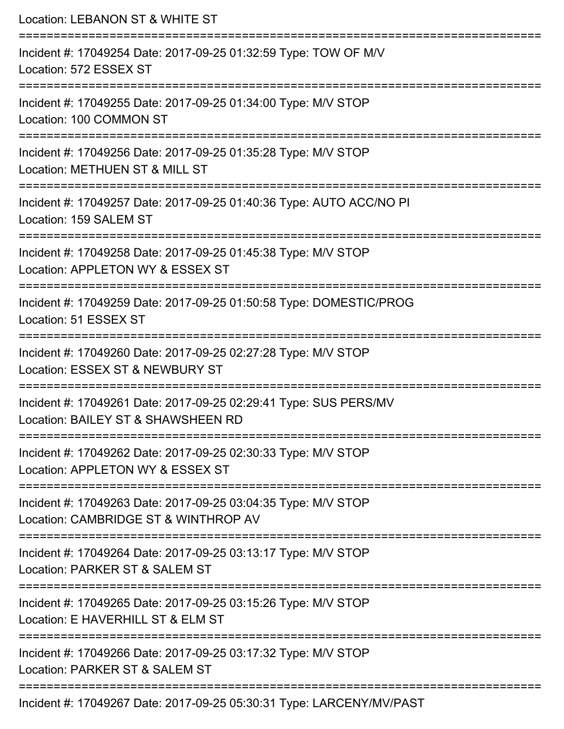| Location: LEBANON ST & WHITE ST                                                                                               |
|-------------------------------------------------------------------------------------------------------------------------------|
| Incident #: 17049254 Date: 2017-09-25 01:32:59 Type: TOW OF M/V<br>Location: 572 ESSEX ST<br>================================ |
| Incident #: 17049255 Date: 2017-09-25 01:34:00 Type: M/V STOP<br>Location: 100 COMMON ST                                      |
| Incident #: 17049256 Date: 2017-09-25 01:35:28 Type: M/V STOP<br>Location: METHUEN ST & MILL ST                               |
| Incident #: 17049257 Date: 2017-09-25 01:40:36 Type: AUTO ACC/NO PI<br>Location: 159 SALEM ST                                 |
| Incident #: 17049258 Date: 2017-09-25 01:45:38 Type: M/V STOP<br>Location: APPLETON WY & ESSEX ST<br>:====================    |
| Incident #: 17049259 Date: 2017-09-25 01:50:58 Type: DOMESTIC/PROG<br>Location: 51 ESSEX ST<br>--------------------           |
| Incident #: 17049260 Date: 2017-09-25 02:27:28 Type: M/V STOP<br>Location: ESSEX ST & NEWBURY ST                              |
| Incident #: 17049261 Date: 2017-09-25 02:29:41 Type: SUS PERS/MV<br>Location: BAILEY ST & SHAWSHEEN RD                        |
| Incident #: 17049262 Date: 2017-09-25 02:30:33 Type: M/V STOP<br>Location: APPLETON WY & ESSEX ST                             |
| Incident #: 17049263 Date: 2017-09-25 03:04:35 Type: M/V STOP<br>Location: CAMBRIDGE ST & WINTHROP AV                         |
| Incident #: 17049264 Date: 2017-09-25 03:13:17 Type: M/V STOP<br>Location: PARKER ST & SALEM ST                               |
| Incident #: 17049265 Date: 2017-09-25 03:15:26 Type: M/V STOP<br>Location: E HAVERHILL ST & ELM ST                            |
| Incident #: 17049266 Date: 2017-09-25 03:17:32 Type: M/V STOP<br>Location: PARKER ST & SALEM ST                               |
| Incident #: 17049267 Date: 2017-09-25 05:30:31 Type: LARCENY/MV/PAST                                                          |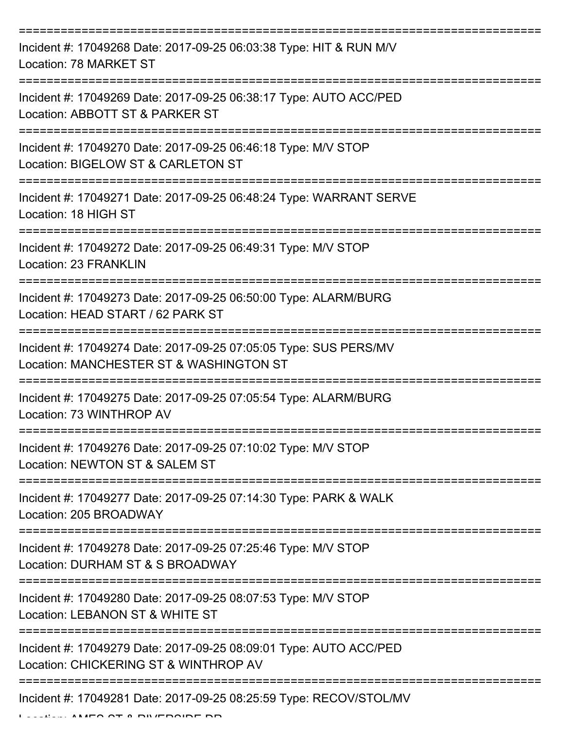| Incident #: 17049268 Date: 2017-09-25 06:03:38 Type: HIT & RUN M/V<br>Location: 78 MARKET ST                |
|-------------------------------------------------------------------------------------------------------------|
| Incident #: 17049269 Date: 2017-09-25 06:38:17 Type: AUTO ACC/PED<br>Location: ABBOTT ST & PARKER ST        |
| Incident #: 17049270 Date: 2017-09-25 06:46:18 Type: M/V STOP<br>Location: BIGELOW ST & CARLETON ST         |
| Incident #: 17049271 Date: 2017-09-25 06:48:24 Type: WARRANT SERVE<br>Location: 18 HIGH ST                  |
| Incident #: 17049272 Date: 2017-09-25 06:49:31 Type: M/V STOP<br><b>Location: 23 FRANKLIN</b>               |
| Incident #: 17049273 Date: 2017-09-25 06:50:00 Type: ALARM/BURG<br>Location: HEAD START / 62 PARK ST        |
| Incident #: 17049274 Date: 2017-09-25 07:05:05 Type: SUS PERS/MV<br>Location: MANCHESTER ST & WASHINGTON ST |
| Incident #: 17049275 Date: 2017-09-25 07:05:54 Type: ALARM/BURG<br>Location: 73 WINTHROP AV                 |
| Incident #: 17049276 Date: 2017-09-25 07:10:02 Type: M/V STOP<br>Location: NEWTON ST & SALEM ST             |
| Incident #: 17049277 Date: 2017-09-25 07:14:30 Type: PARK & WALK<br>Location: 205 BROADWAY                  |
| Incident #: 17049278 Date: 2017-09-25 07:25:46 Type: M/V STOP<br>Location: DURHAM ST & S BROADWAY           |
| Incident #: 17049280 Date: 2017-09-25 08:07:53 Type: M/V STOP<br>Location: LEBANON ST & WHITE ST            |
| Incident #: 17049279 Date: 2017-09-25 08:09:01 Type: AUTO ACC/PED<br>Location: CHICKERING ST & WINTHROP AV  |
| Incident #: 17049281 Date: 2017-09-25 08:25:59 Type: RECOV/STOL/MV                                          |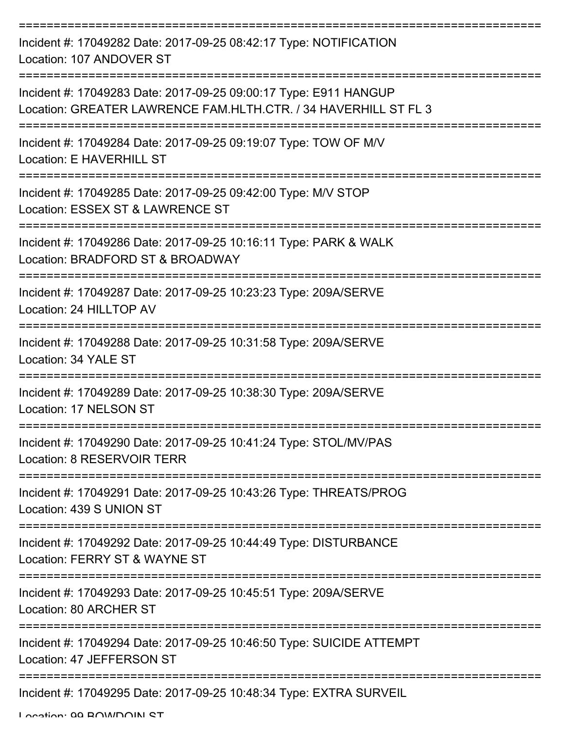| Incident #: 17049282 Date: 2017-09-25 08:42:17 Type: NOTIFICATION<br>Location: 107 ANDOVER ST                                       |
|-------------------------------------------------------------------------------------------------------------------------------------|
| Incident #: 17049283 Date: 2017-09-25 09:00:17 Type: E911 HANGUP<br>Location: GREATER LAWRENCE FAM.HLTH.CTR. / 34 HAVERHILL ST FL 3 |
| Incident #: 17049284 Date: 2017-09-25 09:19:07 Type: TOW OF M/V<br>Location: E HAVERHILL ST                                         |
| Incident #: 17049285 Date: 2017-09-25 09:42:00 Type: M/V STOP<br>Location: ESSEX ST & LAWRENCE ST                                   |
| Incident #: 17049286 Date: 2017-09-25 10:16:11 Type: PARK & WALK<br>Location: BRADFORD ST & BROADWAY                                |
| Incident #: 17049287 Date: 2017-09-25 10:23:23 Type: 209A/SERVE<br>Location: 24 HILLTOP AV                                          |
| Incident #: 17049288 Date: 2017-09-25 10:31:58 Type: 209A/SERVE<br>Location: 34 YALE ST                                             |
| Incident #: 17049289 Date: 2017-09-25 10:38:30 Type: 209A/SERVE<br>Location: 17 NELSON ST                                           |
| Incident #: 17049290 Date: 2017-09-25 10:41:24 Type: STOL/MV/PAS<br>Location: 8 RESERVOIR TERR                                      |
| Incident #: 17049291 Date: 2017-09-25 10:43:26 Type: THREATS/PROG<br>Location: 439 S UNION ST                                       |
| Incident #: 17049292 Date: 2017-09-25 10:44:49 Type: DISTURBANCE<br>Location: FERRY ST & WAYNE ST                                   |
| Incident #: 17049293 Date: 2017-09-25 10:45:51 Type: 209A/SERVE<br>Location: 80 ARCHER ST                                           |
| Incident #: 17049294 Date: 2017-09-25 10:46:50 Type: SUICIDE ATTEMPT<br>Location: 47 JEFFERSON ST                                   |
| Incident #: 17049295 Date: 2017-09-25 10:48:34 Type: EXTRA SURVEIL                                                                  |

Location: 00 BOWDOIN ST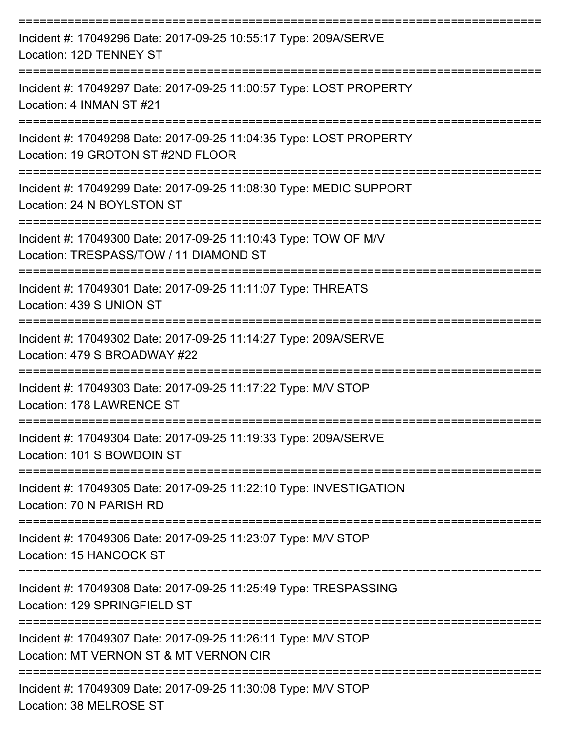| Incident #: 17049296 Date: 2017-09-25 10:55:17 Type: 209A/SERVE<br>Location: 12D TENNEY ST                                               |
|------------------------------------------------------------------------------------------------------------------------------------------|
| Incident #: 17049297 Date: 2017-09-25 11:00:57 Type: LOST PROPERTY<br>Location: 4 INMAN ST #21                                           |
| Incident #: 17049298 Date: 2017-09-25 11:04:35 Type: LOST PROPERTY<br>Location: 19 GROTON ST #2ND FLOOR                                  |
| Incident #: 17049299 Date: 2017-09-25 11:08:30 Type: MEDIC SUPPORT<br>Location: 24 N BOYLSTON ST<br>----------------<br>-----------      |
| Incident #: 17049300 Date: 2017-09-25 11:10:43 Type: TOW OF M/V<br>Location: TRESPASS/TOW / 11 DIAMOND ST                                |
| Incident #: 17049301 Date: 2017-09-25 11:11:07 Type: THREATS<br>Location: 439 S UNION ST                                                 |
| =====================================<br>Incident #: 17049302 Date: 2017-09-25 11:14:27 Type: 209A/SERVE<br>Location: 479 S BROADWAY #22 |
| Incident #: 17049303 Date: 2017-09-25 11:17:22 Type: M/V STOP<br>Location: 178 LAWRENCE ST                                               |
| Incident #: 17049304 Date: 2017-09-25 11:19:33 Type: 209A/SERVE<br>Location: 101 S BOWDOIN ST                                            |
| Incident #: 17049305 Date: 2017-09-25 11:22:10 Type: INVESTIGATION<br>Location: 70 N PARISH RD                                           |
| Incident #: 17049306 Date: 2017-09-25 11:23:07 Type: M/V STOP<br>Location: 15 HANCOCK ST                                                 |
| Incident #: 17049308 Date: 2017-09-25 11:25:49 Type: TRESPASSING<br>Location: 129 SPRINGFIELD ST                                         |
| Incident #: 17049307 Date: 2017-09-25 11:26:11 Type: M/V STOP<br>Location: MT VERNON ST & MT VERNON CIR                                  |
| Incident #: 17049309 Date: 2017-09-25 11:30:08 Type: M/V STOP                                                                            |

Location: 38 MELROSE ST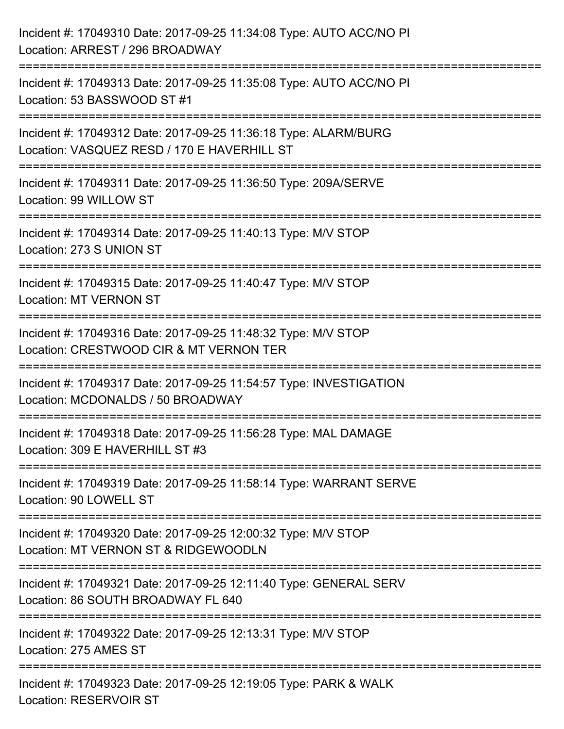| Incident #: 17049310 Date: 2017-09-25 11:34:08 Type: AUTO ACC/NO PI<br>Location: ARREST / 296 BROADWAY                           |
|----------------------------------------------------------------------------------------------------------------------------------|
| Incident #: 17049313 Date: 2017-09-25 11:35:08 Type: AUTO ACC/NO PI<br>Location: 53 BASSWOOD ST #1                               |
| Incident #: 17049312 Date: 2017-09-25 11:36:18 Type: ALARM/BURG<br>Location: VASQUEZ RESD / 170 E HAVERHILL ST                   |
| ===================================<br>Incident #: 17049311 Date: 2017-09-25 11:36:50 Type: 209A/SERVE<br>Location: 99 WILLOW ST |
| Incident #: 17049314 Date: 2017-09-25 11:40:13 Type: M/V STOP<br>Location: 273 S UNION ST<br>================================    |
| Incident #: 17049315 Date: 2017-09-25 11:40:47 Type: M/V STOP<br><b>Location: MT VERNON ST</b>                                   |
| Incident #: 17049316 Date: 2017-09-25 11:48:32 Type: M/V STOP<br>Location: CRESTWOOD CIR & MT VERNON TER                         |
| Incident #: 17049317 Date: 2017-09-25 11:54:57 Type: INVESTIGATION<br>Location: MCDONALDS / 50 BROADWAY                          |
| Incident #: 17049318 Date: 2017-09-25 11:56:28 Type: MAL DAMAGE<br>Location: 309 E HAVERHILL ST #3                               |
| Incident #: 17049319 Date: 2017-09-25 11:58:14 Type: WARRANT SERVE<br>Location: 90 LOWELL ST                                     |
| Incident #: 17049320 Date: 2017-09-25 12:00:32 Type: M/V STOP<br>Location: MT VERNON ST & RIDGEWOODLN                            |
| Incident #: 17049321 Date: 2017-09-25 12:11:40 Type: GENERAL SERV<br>Location: 86 SOUTH BROADWAY FL 640                          |
| Incident #: 17049322 Date: 2017-09-25 12:13:31 Type: M/V STOP<br>Location: 275 AMES ST                                           |
| Incident #: 17049323 Date: 2017-09-25 12:19:05 Type: PARK & WALK<br><b>Location: RESERVOIR ST</b>                                |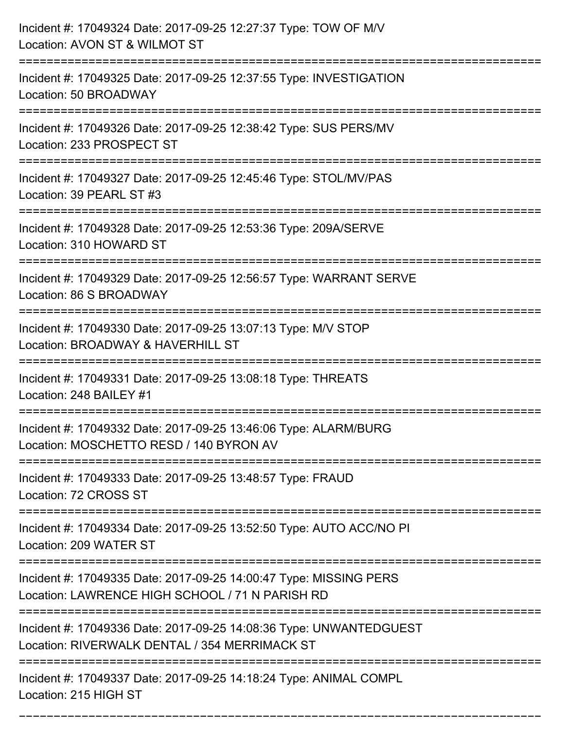| Incident #: 17049324 Date: 2017-09-25 12:27:37 Type: TOW OF M/V<br>Location: AVON ST & WILMOT ST                                                            |
|-------------------------------------------------------------------------------------------------------------------------------------------------------------|
| Incident #: 17049325 Date: 2017-09-25 12:37:55 Type: INVESTIGATION<br>Location: 50 BROADWAY                                                                 |
| Incident #: 17049326 Date: 2017-09-25 12:38:42 Type: SUS PERS/MV<br>Location: 233 PROSPECT ST<br>----------------------                                     |
| Incident #: 17049327 Date: 2017-09-25 12:45:46 Type: STOL/MV/PAS<br>Location: 39 PEARL ST #3                                                                |
| Incident #: 17049328 Date: 2017-09-25 12:53:36 Type: 209A/SERVE<br>Location: 310 HOWARD ST                                                                  |
| Incident #: 17049329 Date: 2017-09-25 12:56:57 Type: WARRANT SERVE<br>Location: 86 S BROADWAY                                                               |
| Incident #: 17049330 Date: 2017-09-25 13:07:13 Type: M/V STOP<br>Location: BROADWAY & HAVERHILL ST                                                          |
| Incident #: 17049331 Date: 2017-09-25 13:08:18 Type: THREATS<br>Location: 248 BAILEY #1                                                                     |
| Incident #: 17049332 Date: 2017-09-25 13:46:06 Type: ALARM/BURG<br>Location: MOSCHETTO RESD / 140 BYRON AV                                                  |
| Incident #: 17049333 Date: 2017-09-25 13:48:57 Type: FRAUD<br>Location: 72 CROSS ST                                                                         |
| Incident #: 17049334 Date: 2017-09-25 13:52:50 Type: AUTO ACC/NO PI<br>Location: 209 WATER ST                                                               |
| Incident #: 17049335 Date: 2017-09-25 14:00:47 Type: MISSING PERS<br>Location: LAWRENCE HIGH SCHOOL / 71 N PARISH RD                                        |
| Incident #: 17049336 Date: 2017-09-25 14:08:36 Type: UNWANTEDGUEST<br>Location: RIVERWALK DENTAL / 354 MERRIMACK ST<br>==================================== |
| Incident #: 17049337 Date: 2017-09-25 14:18:24 Type: ANIMAL COMPL<br>Location: 215 HIGH ST                                                                  |

===========================================================================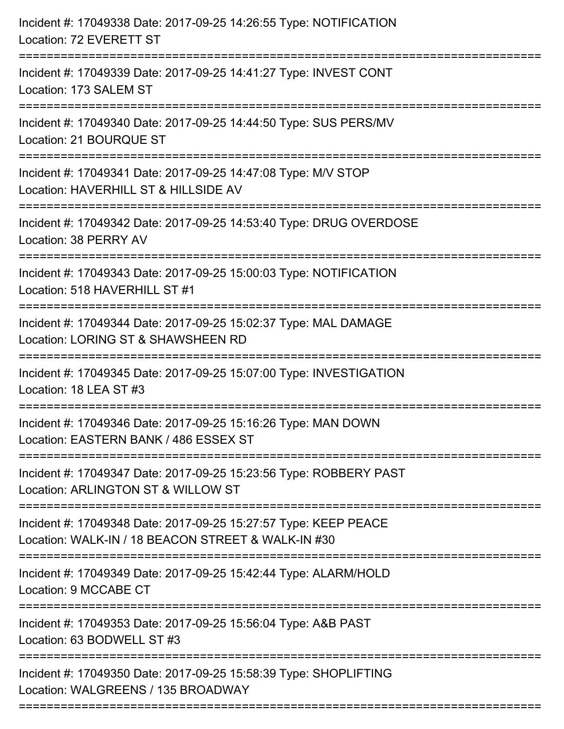| Incident #: 17049338 Date: 2017-09-25 14:26:55 Type: NOTIFICATION<br>Location: 72 EVERETT ST                                        |
|-------------------------------------------------------------------------------------------------------------------------------------|
| Incident #: 17049339 Date: 2017-09-25 14:41:27 Type: INVEST CONT<br>Location: 173 SALEM ST                                          |
| Incident #: 17049340 Date: 2017-09-25 14:44:50 Type: SUS PERS/MV<br>Location: 21 BOURQUE ST<br>==================================== |
| Incident #: 17049341 Date: 2017-09-25 14:47:08 Type: M/V STOP<br>Location: HAVERHILL ST & HILLSIDE AV                               |
| Incident #: 17049342 Date: 2017-09-25 14:53:40 Type: DRUG OVERDOSE<br>Location: 38 PERRY AV<br>==============================       |
| Incident #: 17049343 Date: 2017-09-25 15:00:03 Type: NOTIFICATION<br>Location: 518 HAVERHILL ST #1                                  |
| Incident #: 17049344 Date: 2017-09-25 15:02:37 Type: MAL DAMAGE<br>Location: LORING ST & SHAWSHEEN RD                               |
| Incident #: 17049345 Date: 2017-09-25 15:07:00 Type: INVESTIGATION<br>Location: 18 LEA ST #3                                        |
| Incident #: 17049346 Date: 2017-09-25 15:16:26 Type: MAN DOWN<br>Location: EASTERN BANK / 486 ESSEX ST                              |
| Incident #: 17049347 Date: 2017-09-25 15:23:56 Type: ROBBERY PAST<br>Location: ARLINGTON ST & WILLOW ST                             |
| Incident #: 17049348 Date: 2017-09-25 15:27:57 Type: KEEP PEACE<br>Location: WALK-IN / 18 BEACON STREET & WALK-IN #30               |
| Incident #: 17049349 Date: 2017-09-25 15:42:44 Type: ALARM/HOLD<br>Location: 9 MCCABE CT                                            |
| Incident #: 17049353 Date: 2017-09-25 15:56:04 Type: A&B PAST<br>Location: 63 BODWELL ST #3                                         |
| Incident #: 17049350 Date: 2017-09-25 15:58:39 Type: SHOPLIFTING<br>Location: WALGREENS / 135 BROADWAY                              |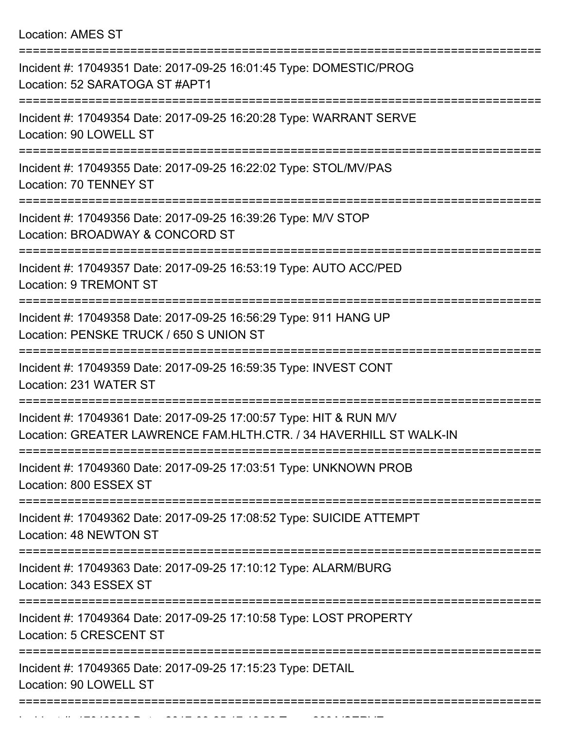Location: AMES ST

| Incident #: 17049351 Date: 2017-09-25 16:01:45 Type: DOMESTIC/PROG<br>Location: 52 SARATOGA ST #APT1                                     |
|------------------------------------------------------------------------------------------------------------------------------------------|
| Incident #: 17049354 Date: 2017-09-25 16:20:28 Type: WARRANT SERVE<br>Location: 90 LOWELL ST                                             |
| Incident #: 17049355 Date: 2017-09-25 16:22:02 Type: STOL/MV/PAS<br>Location: 70 TENNEY ST                                               |
| Incident #: 17049356 Date: 2017-09-25 16:39:26 Type: M/V STOP<br>Location: BROADWAY & CONCORD ST                                         |
| Incident #: 17049357 Date: 2017-09-25 16:53:19 Type: AUTO ACC/PED<br><b>Location: 9 TREMONT ST</b>                                       |
| Incident #: 17049358 Date: 2017-09-25 16:56:29 Type: 911 HANG UP<br>Location: PENSKE TRUCK / 650 S UNION ST                              |
| Incident #: 17049359 Date: 2017-09-25 16:59:35 Type: INVEST CONT<br>Location: 231 WATER ST<br>===========                                |
| Incident #: 17049361 Date: 2017-09-25 17:00:57 Type: HIT & RUN M/V<br>Location: GREATER LAWRENCE FAM.HLTH.CTR. / 34 HAVERHILL ST WALK-IN |
| Incident #: 17049360 Date: 2017-09-25 17:03:51 Type: UNKNOWN PROB<br>Location: 800 ESSEX ST                                              |
| Incident #: 17049362 Date: 2017-09-25 17:08:52 Type: SUICIDE ATTEMPT<br>Location: 48 NEWTON ST                                           |
| Incident #: 17049363 Date: 2017-09-25 17:10:12 Type: ALARM/BURG<br>Location: 343 ESSEX ST                                                |
| Incident #: 17049364 Date: 2017-09-25 17:10:58 Type: LOST PROPERTY<br><b>Location: 5 CRESCENT ST</b>                                     |
| Incident #: 17049365 Date: 2017-09-25 17:15:23 Type: DETAIL<br>Location: 90 LOWELL ST                                                    |
|                                                                                                                                          |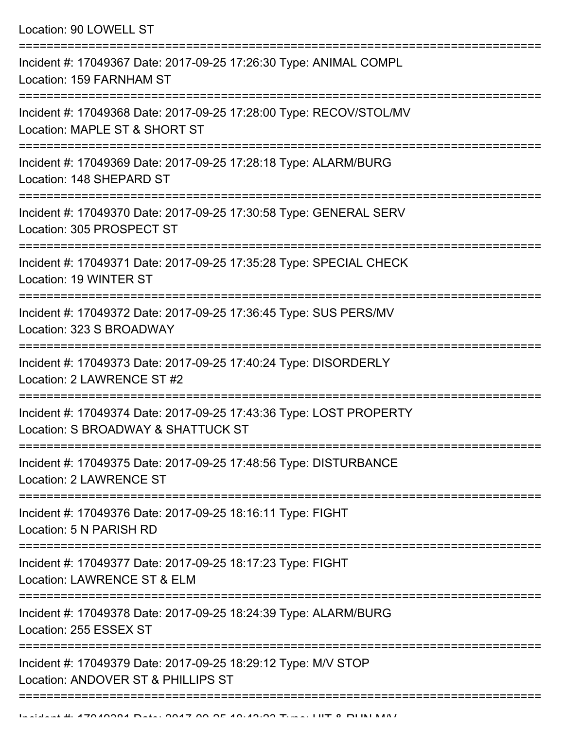Location: 90 LOWELL ST

| Incident #: 17049367 Date: 2017-09-25 17:26:30 Type: ANIMAL COMPL<br>Location: 159 FARNHAM ST            |
|----------------------------------------------------------------------------------------------------------|
| Incident #: 17049368 Date: 2017-09-25 17:28:00 Type: RECOV/STOL/MV<br>Location: MAPLE ST & SHORT ST      |
| Incident #: 17049369 Date: 2017-09-25 17:28:18 Type: ALARM/BURG<br>Location: 148 SHEPARD ST              |
| Incident #: 17049370 Date: 2017-09-25 17:30:58 Type: GENERAL SERV<br>Location: 305 PROSPECT ST           |
| Incident #: 17049371 Date: 2017-09-25 17:35:28 Type: SPECIAL CHECK<br>Location: 19 WINTER ST             |
| Incident #: 17049372 Date: 2017-09-25 17:36:45 Type: SUS PERS/MV<br>Location: 323 S BROADWAY             |
| Incident #: 17049373 Date: 2017-09-25 17:40:24 Type: DISORDERLY<br>Location: 2 LAWRENCE ST #2            |
| Incident #: 17049374 Date: 2017-09-25 17:43:36 Type: LOST PROPERTY<br>Location: S BROADWAY & SHATTUCK ST |
| Incident #: 17049375 Date: 2017-09-25 17:48:56 Type: DISTURBANCE<br>Location: 2 LAWRENCE ST              |
| Incident #: 17049376 Date: 2017-09-25 18:16:11 Type: FIGHT<br>Location: 5 N PARISH RD                    |
| Incident #: 17049377 Date: 2017-09-25 18:17:23 Type: FIGHT<br>Location: LAWRENCE ST & ELM                |
| Incident #: 17049378 Date: 2017-09-25 18:24:39 Type: ALARM/BURG<br>Location: 255 ESSEX ST                |
| Incident #: 17049379 Date: 2017-09-25 18:29:12 Type: M/V STOP<br>Location: ANDOVER ST & PHILLIPS ST      |
|                                                                                                          |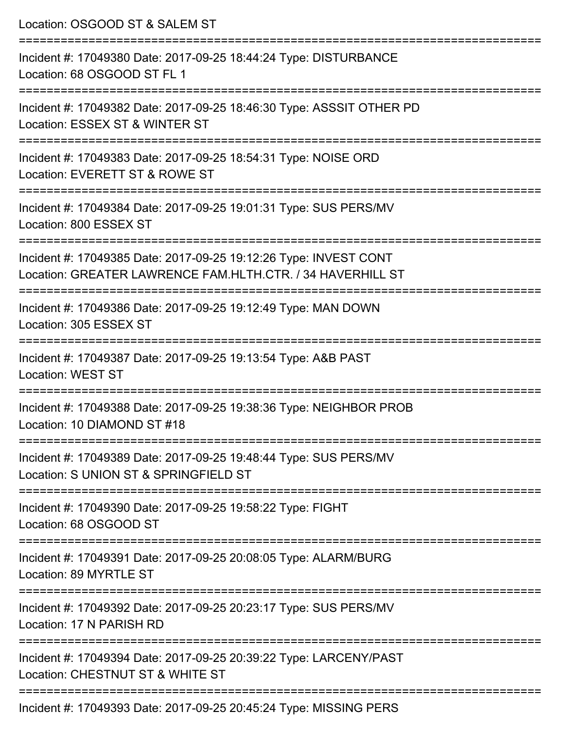| Location: OSGOOD ST & SALEM ST                                                                                                 |
|--------------------------------------------------------------------------------------------------------------------------------|
| Incident #: 17049380 Date: 2017-09-25 18:44:24 Type: DISTURBANCE<br>Location: 68 OSGOOD ST FL 1                                |
| Incident #: 17049382 Date: 2017-09-25 18:46:30 Type: ASSSIT OTHER PD<br>Location: ESSEX ST & WINTER ST                         |
| Incident #: 17049383 Date: 2017-09-25 18:54:31 Type: NOISE ORD<br>Location: EVERETT ST & ROWE ST<br>:===============           |
| Incident #: 17049384 Date: 2017-09-25 19:01:31 Type: SUS PERS/MV<br>Location: 800 ESSEX ST                                     |
| Incident #: 17049385 Date: 2017-09-25 19:12:26 Type: INVEST CONT<br>Location: GREATER LAWRENCE FAM.HLTH.CTR. / 34 HAVERHILL ST |
| Incident #: 17049386 Date: 2017-09-25 19:12:49 Type: MAN DOWN<br>Location: 305 ESSEX ST                                        |
| Incident #: 17049387 Date: 2017-09-25 19:13:54 Type: A&B PAST<br><b>Location: WEST ST</b>                                      |
| Incident #: 17049388 Date: 2017-09-25 19:38:36 Type: NEIGHBOR PROB<br>Location: 10 DIAMOND ST #18                              |
| Incident #: 17049389 Date: 2017-09-25 19:48:44 Type: SUS PERS/MV<br>Location: S UNION ST & SPRINGFIELD ST                      |
| ------------------------------<br>Incident #: 17049390 Date: 2017-09-25 19:58:22 Type: FIGHT<br>Location: 68 OSGOOD ST         |
| Incident #: 17049391 Date: 2017-09-25 20:08:05 Type: ALARM/BURG<br>Location: 89 MYRTLE ST                                      |
| Incident #: 17049392 Date: 2017-09-25 20:23:17 Type: SUS PERS/MV<br>Location: 17 N PARISH RD                                   |
| Incident #: 17049394 Date: 2017-09-25 20:39:22 Type: LARCENY/PAST<br>Location: CHESTNUT ST & WHITE ST                          |
| $Inoidont + 17010202$ $Deto: 2017.00.25$ $20.15.21$ $T_{100}$ $c$ ; $MICCINC$ $DEDC$                                           |

Incident #: 17049393 Date: 2017-09-25 20:45:24 Type: MISSING PERS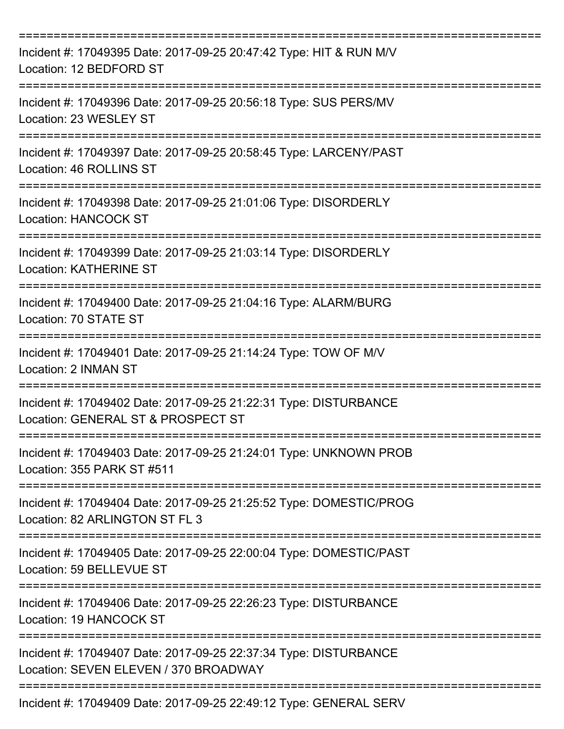| Incident #: 17049395 Date: 2017-09-25 20:47:42 Type: HIT & RUN M/V<br>Location: 12 BEDFORD ST             |
|-----------------------------------------------------------------------------------------------------------|
| Incident #: 17049396 Date: 2017-09-25 20:56:18 Type: SUS PERS/MV<br>Location: 23 WESLEY ST                |
| Incident #: 17049397 Date: 2017-09-25 20:58:45 Type: LARCENY/PAST<br>Location: 46 ROLLINS ST              |
| Incident #: 17049398 Date: 2017-09-25 21:01:06 Type: DISORDERLY<br>Location: HANCOCK ST                   |
| Incident #: 17049399 Date: 2017-09-25 21:03:14 Type: DISORDERLY<br><b>Location: KATHERINE ST</b>          |
| Incident #: 17049400 Date: 2017-09-25 21:04:16 Type: ALARM/BURG<br>Location: 70 STATE ST                  |
| Incident #: 17049401 Date: 2017-09-25 21:14:24 Type: TOW OF M/V<br>Location: 2 INMAN ST                   |
| Incident #: 17049402 Date: 2017-09-25 21:22:31 Type: DISTURBANCE<br>Location: GENERAL ST & PROSPECT ST    |
| Incident #: 17049403 Date: 2017-09-25 21:24:01 Type: UNKNOWN PROB<br>Location: 355 PARK ST #511           |
| Incident #: 17049404 Date: 2017-09-25 21:25:52 Type: DOMESTIC/PROG<br>Location: 82 ARLINGTON ST FL 3      |
| Incident #: 17049405 Date: 2017-09-25 22:00:04 Type: DOMESTIC/PAST<br>Location: 59 BELLEVUE ST            |
| Incident #: 17049406 Date: 2017-09-25 22:26:23 Type: DISTURBANCE<br>Location: 19 HANCOCK ST               |
| Incident #: 17049407 Date: 2017-09-25 22:37:34 Type: DISTURBANCE<br>Location: SEVEN ELEVEN / 370 BROADWAY |
| Incident #: 17049409 Date: 2017-09-25 22:49:12 Type: GENERAL SERV                                         |